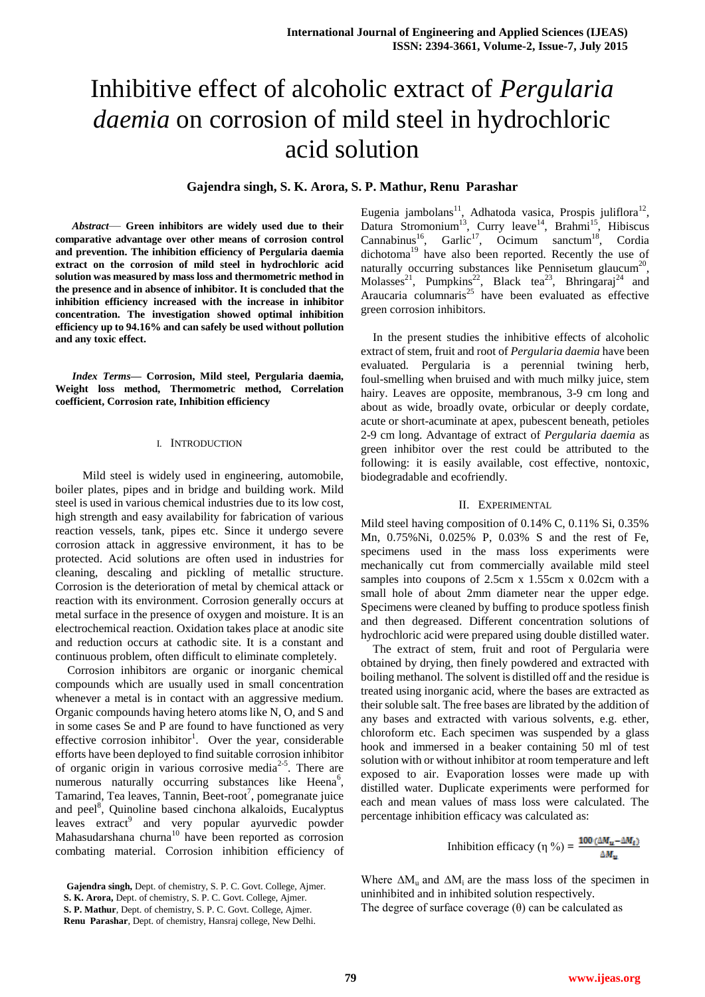# Inhibitive effect of alcoholic extract of *Pergularia daemia* on corrosion of mild steel in hydrochloric acid solution

## **Gajendra singh, S. K. Arora, S. P. Mathur, Renu Parashar**

*Abstract*— **Green inhibitors are widely used due to their comparative advantage over other means of corrosion control and prevention. The inhibition efficiency of Pergularia daemia extract on the corrosion of mild steel in hydrochloric acid solution was measured by mass loss and thermometric method in the presence and in absence of inhibitor. It is concluded that the inhibition efficiency increased with the increase in inhibitor concentration. The investigation showed optimal inhibition efficiency up to 94.16% and can safely be used without pollution and any toxic effect.** 

*Index Terms***— Corrosion, Mild steel, Pergularia daemia, Weight loss method, Thermometric method, Correlation coefficient, Corrosion rate, Inhibition efficiency**

#### I. INTRODUCTION

 Mild steel is widely used in engineering, automobile, boiler plates, pipes and in bridge and building work. Mild steel is used in various chemical industries due to its low cost, high strength and easy availability for fabrication of various reaction vessels, tank, pipes etc. Since it undergo severe corrosion attack in aggressive environment, it has to be protected. Acid solutions are often used in industries for cleaning, descaling and pickling of metallic structure. Corrosion is the deterioration of metal by chemical attack or reaction with its environment. Corrosion generally occurs at metal surface in the presence of oxygen and moisture. It is an electrochemical reaction. Oxidation takes place at anodic site and reduction occurs at cathodic site. It is a constant and continuous problem, often difficult to eliminate completely.

Corrosion inhibitors are organic or inorganic chemical compounds which are usually used in small concentration whenever a metal is in contact with an aggressive medium. Organic compounds having hetero atoms like N, O, and S and in some cases Se and P are found to have functioned as very effective corrosion inhibitor<sup>1</sup>. Over the year, considerable efforts have been deployed to find suitable corrosion inhibitor of organic origin in various corrosive media $2-5$ . There are numerous naturally occurring substances like Heena<sup>6</sup>, Tamarind, Tea leaves, Tannin, Beet-root<sup>7</sup>, pomegranate juice and peel<sup>8</sup>, Quinoline based cinchona alkaloids, Eucalyptus leaves extract<sup>9</sup> and very popular ayurvedic powder Mahasudarshana churna<sup>10</sup> have been reported as corrosion combating material. Corrosion inhibition efficiency of

Eugenia jambolans<sup>11</sup>, Adhatoda vasica, Prospis juliflora<sup>12</sup>, Datura Stromonium<sup>13</sup>, Curry leave<sup>14</sup>, Brahmi<sup>15</sup>, Hibiscus Cannabinus<sup>16</sup>, Garlic<sup>17</sup>, Ocimum sanctum<sup>18</sup>, Cordia dichotoma<sup>19</sup> have also been reported. Recently the use of naturally occurring substances like Pennisetum glaucum<sup>20</sup>, Molasses<sup>21</sup>, Pumpkins<sup>22</sup>, Black tea<sup>23</sup>, Bhringaraj<sup>24</sup> and Araucaria columnaris<sup>25</sup> have been evaluated as effective green corrosion inhibitors.

In the present studies the inhibitive effects of alcoholic extract of stem, fruit and root of *Pergularia daemia* have been evaluated*.* Pergularia is a perennial twining herb, foul-smelling when bruised and with much milky juice, stem hairy. Leaves are opposite, membranous, 3-9 cm long and about as wide, broadly ovate, orbicular or deeply cordate, acute or short-acuminate at apex, pubescent beneath, petioles 2-9 cm long. Advantage of extract of *Pergularia daemia* as green inhibitor over the rest could be attributed to the following: it is easily available, cost effective, nontoxic, biodegradable and ecofriendly.

### II. EXPERIMENTAL

Mild steel having composition of 0.14% C, 0.11% Si, 0.35% Mn, 0.75%Ni, 0.025% P, 0.03% S and the rest of Fe, specimens used in the mass loss experiments were mechanically cut from commercially available mild steel samples into coupons of 2.5cm x 1.55cm x 0.02cm with a small hole of about 2mm diameter near the upper edge. Specimens were cleaned by buffing to produce spotless finish and then degreased. Different concentration solutions of hydrochloric acid were prepared using double distilled water.

The extract of stem, fruit and root of Pergularia were obtained by drying, then finely powdered and extracted with boiling methanol. The solvent is distilled off and the residue is treated using inorganic acid, where the bases are extracted as their soluble salt. The free bases are librated by the addition of any bases and extracted with various solvents, e.g. ether, chloroform etc. Each specimen was suspended by a glass hook and immersed in a beaker containing 50 ml of test solution with or without inhibitor at room temperature and left exposed to air. Evaporation losses were made up with distilled water. Duplicate experiments were performed for each and mean values of mass loss were calculated. The percentage inhibition efficacy was calculated as:

Inhibition efficacy (
$$
\eta
$$
 %) =  $\frac{100 ( \Delta M_u - \Delta M_t)}{\Delta M_u}$ 

Where  $\Delta M_u$  and  $\Delta M_i$  are the mass loss of the specimen in uninhibited and in inhibited solution respectively. The degree of surface coverage  $(\theta)$  can be calculated as

**Gajendra singh,** Dept. of chemistry, S. P. C. Govt. College, Ajmer.

**S. K. Arora,** Dept. of chemistry, S. P. C. Govt. College, Ajmer.

**S. P. Mathur**, Dept. of chemistry, S. P. C. Govt. College, Ajmer. **Renu Parashar**, Dept. of chemistry, Hansraj college, New Delhi.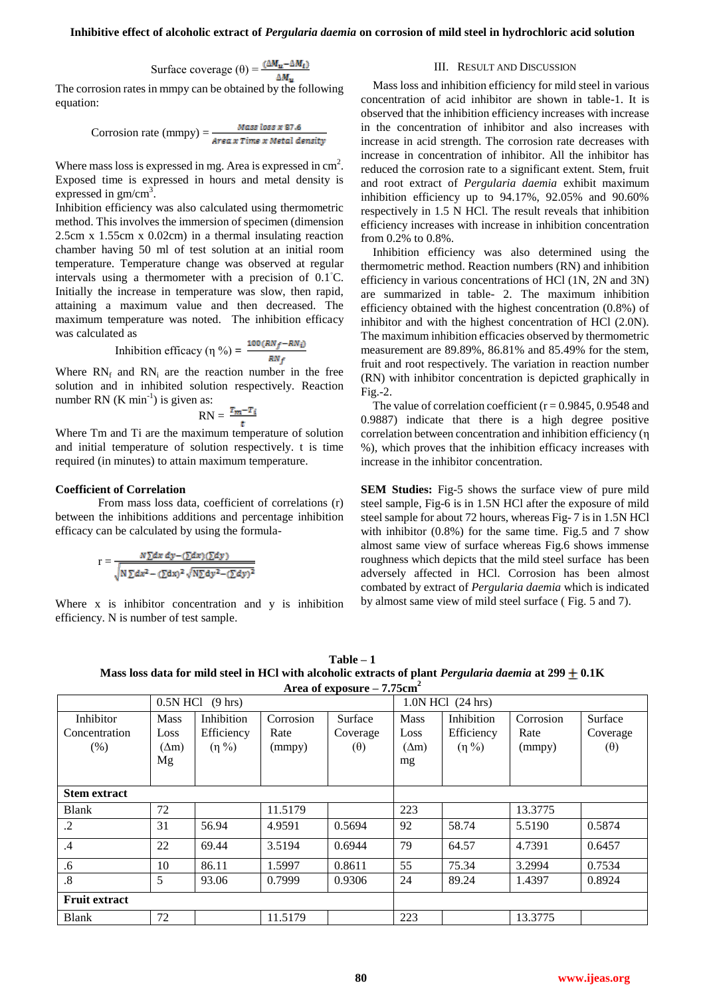Surface coverage  $(θ) = \frac{(\Delta M_u - \Delta M_t)}{\Delta M}$ 

The corrosion rates in mmpy can be obtained by the following equation:

Corrosion rate (mmpy) = 
$$
\frac{Mass loss x 87.6}{Area x Time x Metal density}
$$

Where mass loss is expressed in mg. Area is expressed in  $\text{cm}^2$ . Exposed time is expressed in hours and metal density is expressed in  $gm/cm<sup>3</sup>$ .

Inhibition efficiency was also calculated using thermometric method. This involves the immersion of specimen (dimension 2.5cm x 1.55cm x 0.02cm) in a thermal insulating reaction chamber having 50 ml of test solution at an initial room temperature. Temperature change was observed at regular intervals using a thermometer with a precision of 0.1◦C. Initially the increase in temperature was slow, then rapid, attaining a maximum value and then decreased. The maximum temperature was noted. The inhibition efficacy was calculated as

Inhibition efficacy (
$$
\eta
$$
 %) =  $\frac{100 \, (RN_f - RN_i)}{RN_f}$ 

Where  $RN_f$  and  $RN_i$  are the reaction number in the free solution and in inhibited solution respectively. Reaction number RN  $(K min<sup>-1</sup>)$  is given as:

$$
RN = \frac{T_m - T_i}{t}
$$

Where Tm and Ti are the maximum temperature of solution and initial temperature of solution respectively. t is time required (in minutes) to attain maximum temperature.

## **Coefficient of Correlation**

From mass loss data, coefficient of correlations (r) between the inhibitions additions and percentage inhibition efficacy can be calculated by using the formula-

$$
r = \frac{N \sum dx dy - (\sum dx)(\sum dy)}{\sqrt{N \sum dx^2 - (\sum dx)^2} \sqrt{N \sum dy^2 - (\sum dy)^2}}
$$

Where x is inhibitor concentration and y is inhibition efficiency. N is number of test sample.

III. RESULT AND DISCUSSION

Mass loss and inhibition efficiency for mild steel in various concentration of acid inhibitor are shown in table-1. It is observed that the inhibition efficiency increases with increase in the concentration of inhibitor and also increases with increase in acid strength. The corrosion rate decreases with increase in concentration of inhibitor. All the inhibitor has reduced the corrosion rate to a significant extent. Stem, fruit and root extract of *Pergularia daemia* exhibit maximum inhibition efficiency up to 94.17%, 92.05% and 90.60% respectively in 1.5 N HCl. The result reveals that inhibition efficiency increases with increase in inhibition concentration from 0.2% to 0.8%.

Inhibition efficiency was also determined using the thermometric method. Reaction numbers (RN) and inhibition efficiency in various concentrations of HCl (1N, 2N and 3N) are summarized in table- 2. The maximum inhibition efficiency obtained with the highest concentration (0.8%) of inhibitor and with the highest concentration of HCl (2.0N). The maximum inhibition efficacies observed by thermometric measurement are 89.89%, 86.81% and 85.49% for the stem, fruit and root respectively. The variation in reaction number (RN) with inhibitor concentration is depicted graphically in Fig.-2.

The value of correlation coefficient ( $r = 0.9845$ , 0.9548 and 0.9887) indicate that there is a high degree positive correlation between concentration and inhibition efficiency (η %), which proves that the inhibition efficacy increases with increase in the inhibitor concentration.

**SEM Studies:** Fig-5 shows the surface view of pure mild steel sample, Fig-6 is in 1.5N HCl after the exposure of mild steel sample for about 72 hours, whereas Fig- 7 is in 1.5N HCl with inhibitor  $(0.8\%)$  for the same time. Fig.5 and 7 show almost same view of surface whereas Fig.6 shows immense roughness which depicts that the mild steel surface has been adversely affected in HCl. Corrosion has been almost combated by extract of *Pergularia daemia* which is indicated by almost same view of mild steel surface ( Fig. 5 and 7).

**Table – 1 Mass loss data for mild steel in HCl with alcoholic extracts of plant** *Pergularia daemia* **at**  $299 \pm 0.1$ **K** Area of exposure  $= 7.75$ cm<sup>2</sup>

|                                    |                                           |                                         |                             | $A$ ca of exposure $ \ell$ , $\ell$ scill |                                           |                                         |                             |                                   |
|------------------------------------|-------------------------------------------|-----------------------------------------|-----------------------------|-------------------------------------------|-------------------------------------------|-----------------------------------------|-----------------------------|-----------------------------------|
|                                    | 0.5N HCl<br>$(9 \text{ hrs})$             |                                         |                             |                                           | 1.0N HCl (24 hrs)                         |                                         |                             |                                   |
| Inhibitor<br>Concentration<br>(% ) | <b>Mass</b><br>Loss<br>$(\Delta m)$<br>Mg | Inhibition<br>Efficiency<br>$(\eta\% )$ | Corrosion<br>Rate<br>(mmpy) | Surface<br>Coverage<br>$(\theta)$         | <b>Mass</b><br>Loss<br>$(\Delta m)$<br>mg | Inhibition<br>Efficiency<br>$(\eta\% )$ | Corrosion<br>Rate<br>(mmpy) | Surface<br>Coverage<br>$(\theta)$ |
| <b>Stem extract</b>                |                                           |                                         |                             |                                           |                                           |                                         |                             |                                   |
| <b>Blank</b>                       | 72                                        |                                         | 11.5179                     |                                           | 223                                       |                                         | 13.3775                     |                                   |
| $\cdot$                            | 31                                        | 56.94                                   | 4.9591                      | 0.5694                                    | 92                                        | 58.74                                   | 5.5190                      | 0.5874                            |
| .4                                 | 22                                        | 69.44                                   | 3.5194                      | 0.6944                                    | 79                                        | 64.57                                   | 4.7391                      | 0.6457                            |
| .6                                 | 10                                        | 86.11                                   | 1.5997                      | 0.8611                                    | 55                                        | 75.34                                   | 3.2994                      | 0.7534                            |
| $\boldsymbol{.8}$                  | 5                                         | 93.06                                   | 0.7999                      | 0.9306                                    | 24                                        | 89.24                                   | 1.4397                      | 0.8924                            |
| <b>Fruit extract</b>               |                                           |                                         |                             |                                           |                                           |                                         |                             |                                   |
| <b>Blank</b>                       | 72                                        |                                         | 11.5179                     |                                           | 223                                       |                                         | 13.3775                     |                                   |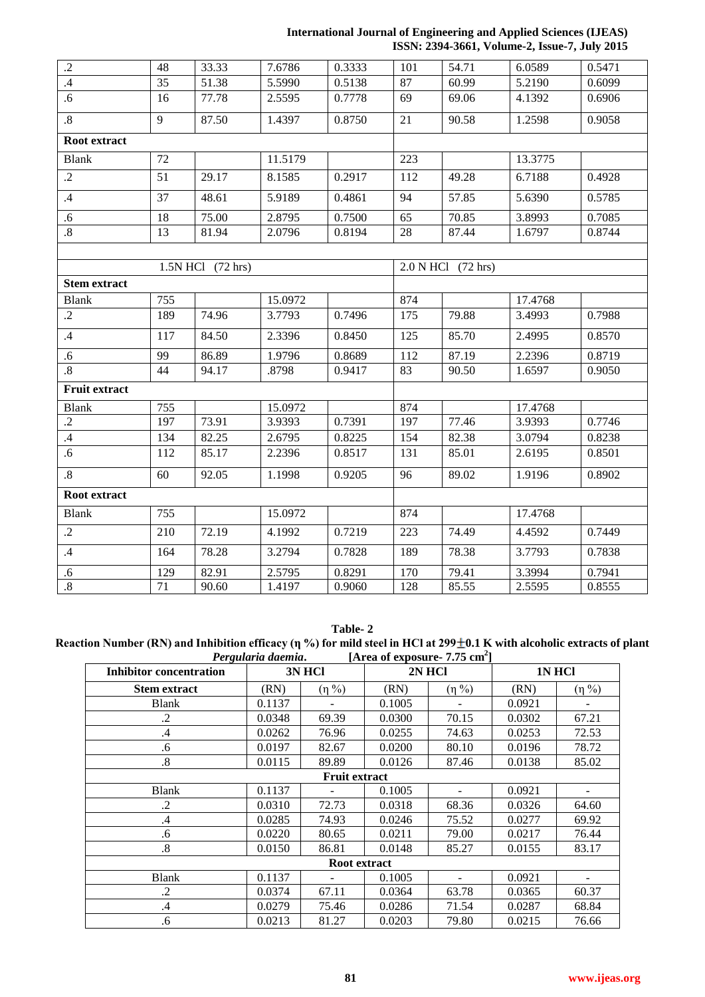## **International Journal of Engineering and Applied Sciences (IJEAS) ISSN: 2394-3661, Volume-2, Issue-7, July 2015**

| $\cdot$ .2           | 48  | 33.33             | 7.6786  | 0.3333 | 101 | 54.71              | 6.0589  | 0.5471 |
|----------------------|-----|-------------------|---------|--------|-----|--------------------|---------|--------|
| $\cdot$ 4            | 35  | 51.38             | 5.5990  | 0.5138 | 87  | 60.99              | 5.2190  | 0.6099 |
| .6                   | 16  | 77.78             | 2.5595  | 0.7778 | 69  | 69.06              | 4.1392  | 0.6906 |
| $\boldsymbol{.8}$    | 9   | 87.50             | 1.4397  | 0.8750 | 21  | 90.58              | 1.2598  | 0.9058 |
| Root extract         |     |                   |         |        |     |                    |         |        |
| <b>Blank</b>         | 72  |                   | 11.5179 |        | 223 |                    | 13.3775 |        |
| $\cdot$              | 51  | 29.17             | 8.1585  | 0.2917 | 112 | 49.28              | 6.7188  | 0.4928 |
| .4                   | 37  | 48.61             | 5.9189  | 0.4861 | 94  | 57.85              | 5.6390  | 0.5785 |
| .6                   | 18  | 75.00             | 2.8795  | 0.7500 | 65  | 70.85              | 3.8993  | 0.7085 |
| $\overline{8}$       | 13  | 81.94             | 2.0796  | 0.8194 | 28  | 87.44              | 1.6797  | 0.8744 |
|                      |     |                   |         |        |     |                    |         |        |
|                      |     | 1.5N HCl (72 hrs) |         |        |     | 2.0 N HCl (72 hrs) |         |        |
| <b>Stem extract</b>  |     |                   |         |        |     |                    |         |        |
| <b>Blank</b>         | 755 |                   | 15.0972 |        | 874 |                    | 17.4768 |        |
| $\cdot$ .2           | 189 | 74.96             | 3.7793  | 0.7496 | 175 | 79.88              | 3.4993  | 0.7988 |
| .4                   | 117 | 84.50             | 2.3396  | 0.8450 | 125 | 85.70              | 2.4995  | 0.8570 |
| .6                   | 99  | 86.89             | 1.9796  | 0.8689 | 112 | 87.19              | 2.2396  | 0.8719 |
| $\overline{.8}$      | 44  | 94.17             | .8798   | 0.9417 | 83  | 90.50              | 1.6597  | 0.9050 |
| <b>Fruit extract</b> |     |                   |         |        |     |                    |         |        |
| <b>Blank</b>         | 755 |                   | 15.0972 |        | 874 |                    | 17.4768 |        |
| $\cdot$              | 197 | 73.91             | 3.9393  | 0.7391 | 197 | 77.46              | 3.9393  | 0.7746 |
| $\mathcal{A}$        | 134 | 82.25             | 2.6795  | 0.8225 | 154 | 82.38              | 3.0794  | 0.8238 |
| .6                   | 112 | 85.17             | 2.2396  | 0.8517 | 131 | 85.01              | 2.6195  | 0.8501 |
| $\boldsymbol{.8}$    | 60  | 92.05             | 1.1998  | 0.9205 | 96  | 89.02              | 1.9196  | 0.8902 |
| Root extract         |     |                   |         |        |     |                    |         |        |
| <b>Blank</b>         | 755 |                   | 15.0972 |        | 874 |                    | 17.4768 |        |
| $\overline{.2}$      | 210 | 72.19             | 4.1992  | 0.7219 | 223 | 74.49              | 4.4592  | 0.7449 |
| .4                   | 164 | 78.28             | 3.2794  | 0.7828 | 189 | 78.38              | 3.7793  | 0.7838 |
| .6                   | 129 | 82.91             | 2.5795  | 0.8291 | 170 | 79.41              | 3.3994  | 0.7941 |
| $\cdot^8$            | 71  | 90.60             | 1.4197  | 0.9060 | 128 | 85.55              | 2.5595  | 0.8555 |

**Table- 2**

**Reaction Number (RN) and Inhibition efficacy (η %) for mild steel in HCl at 299** $\pm$ **0.1 K with alcoholic extracts of plant** *Pergularia daemia***. [Area of exposure-7.75 cm<sup>2</sup>]** *Pergularia daemia***. [Area of exposure- 7.75 cm<sup>2</sup> ]**

| <u>a</u> organism automati<br>$\mu$ and $\mu$ capobing $\mu$ , $\sigma$ cm |        |             |        |                          |        |             |  |  |  |
|----------------------------------------------------------------------------|--------|-------------|--------|--------------------------|--------|-------------|--|--|--|
| <b>Inhibitor concentration</b>                                             | 3N HCl |             | 2N HCl |                          | 1NHCl  |             |  |  |  |
| <b>Stem extract</b>                                                        | (RN)   | $(\eta\% )$ | (RN)   | $(\eta\% )$              | (RN)   | $(\eta\% )$ |  |  |  |
| <b>Blank</b>                                                               | 0.1137 |             | 0.1005 |                          | 0.0921 |             |  |  |  |
| .2                                                                         | 0.0348 | 69.39       | 0.0300 | 70.15                    | 0.0302 | 67.21       |  |  |  |
| .4                                                                         | 0.0262 | 76.96       | 0.0255 | 74.63                    | 0.0253 | 72.53       |  |  |  |
| .6                                                                         | 0.0197 | 82.67       | 0.0200 | 80.10                    | 0.0196 | 78.72       |  |  |  |
| $\cdot^8$                                                                  | 0.0115 | 89.89       | 0.0126 | 87.46                    | 0.0138 | 85.02       |  |  |  |
| <b>Fruit extract</b>                                                       |        |             |        |                          |        |             |  |  |  |
| <b>Blank</b>                                                               | 0.1137 |             | 0.1005 |                          | 0.0921 |             |  |  |  |
| .2                                                                         | 0.0310 | 72.73       | 0.0318 | 68.36                    | 0.0326 | 64.60       |  |  |  |
| .4                                                                         | 0.0285 | 74.93       | 0.0246 | 75.52                    | 0.0277 | 69.92       |  |  |  |
| .6                                                                         | 0.0220 | 80.65       | 0.0211 | 79.00                    | 0.0217 | 76.44       |  |  |  |
| .8                                                                         | 0.0150 | 86.81       | 0.0148 | 85.27                    | 0.0155 | 83.17       |  |  |  |
| Root extract                                                               |        |             |        |                          |        |             |  |  |  |
| <b>Blank</b>                                                               | 0.1137 |             | 0.1005 | $\overline{\phantom{a}}$ | 0.0921 |             |  |  |  |
| .2                                                                         | 0.0374 | 67.11       | 0.0364 | 63.78                    | 0.0365 | 60.37       |  |  |  |
| .4                                                                         | 0.0279 | 75.46       | 0.0286 | 71.54                    | 0.0287 | 68.84       |  |  |  |
| .6                                                                         | 0.0213 | 81.27       | 0.0203 | 79.80                    | 0.0215 | 76.66       |  |  |  |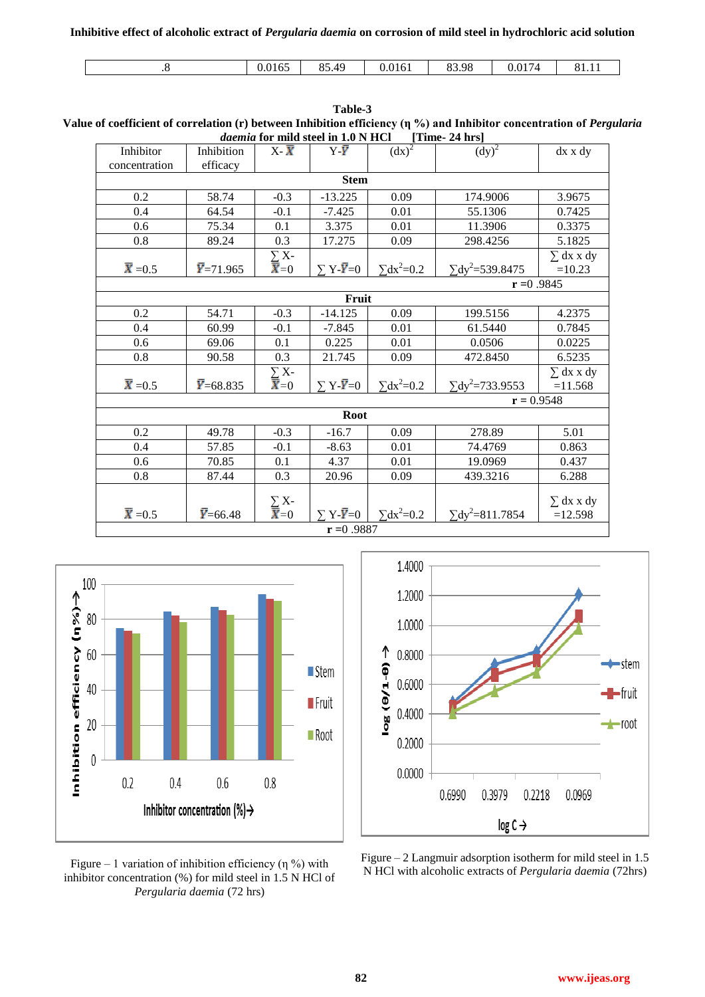**Inhibitive effect of alcoholic extract of** *Pergularia daemia* **on corrosion of mild steel in hydrochloric acid solution**

| 0.017<br>$O \subset$<br>--<br>01<<br>O <sub>1</sub><br>83.98<br>$\Delta\Omega$<br>$\sim$ $\sim$<br>0.0165<br>0.0161<br>01.11<br>0.4 |
|-------------------------------------------------------------------------------------------------------------------------------------|
|-------------------------------------------------------------------------------------------------------------------------------------|

| <i>ademia</i> for thing steel in 1.0 in fitch<br>$\vert$ 1 me $\sim$ 4 m $\vert$ |                   |                                  |                               |                     |                                    |                |  |  |  |
|----------------------------------------------------------------------------------|-------------------|----------------------------------|-------------------------------|---------------------|------------------------------------|----------------|--|--|--|
| Inhibitor                                                                        | Inhibition        | $X \bar{X}$                      | $Y\bar{Y}$                    | $(dx)^2$            | $(dy)^2$                           | dx x dy        |  |  |  |
| concentration                                                                    | efficacy          |                                  |                               |                     |                                    |                |  |  |  |
| <b>Stem</b>                                                                      |                   |                                  |                               |                     |                                    |                |  |  |  |
| 0.2                                                                              | 58.74             | $-0.3$                           | $-13.225$                     | 0.09                | 174.9006                           | 3.9675         |  |  |  |
| 0.4                                                                              | 64.54             | $-0.1$                           | $-7.425$                      | 0.01                | 55.1306                            | 0.7425         |  |  |  |
| 0.6                                                                              | 75.34             | 0.1                              | 3.375                         | 0.01                | 11.3906                            | 0.3375         |  |  |  |
| 0.8                                                                              | 89.24             | 0.3                              | 17.275                        | 0.09                | 298.4256                           | 5.1825         |  |  |  |
|                                                                                  |                   | $\sum_{\overline{X}=0} X$ -      |                               |                     |                                    | $\sum$ dx x dy |  |  |  |
| $\bar{X} = 0.5$                                                                  | $\bar{Y}$ =71.965 |                                  | $\Sigma$ Y- $\overline{Y}=0$  | $\Sigma dx^2 = 0.2$ | $\Sigma$ dy <sup>2</sup> =539.8475 | $=10.23$       |  |  |  |
| $r = 0.9845$                                                                     |                   |                                  |                               |                     |                                    |                |  |  |  |
| Fruit                                                                            |                   |                                  |                               |                     |                                    |                |  |  |  |
| 0.2                                                                              | 54.71             | $-0.3$                           | $-14.125$                     | 0.09                | 199.5156                           | 4.2375         |  |  |  |
| 0.4                                                                              | 60.99             | $-0.1$                           | $-7.845$                      | 0.01                | 61.5440                            | 0.7845         |  |  |  |
| 0.6                                                                              | 69.06             | 0.1                              | 0.225                         | 0.01                | 0.0506                             | 0.0225         |  |  |  |
| 0.8                                                                              | 90.58             | 0.3                              | 21.745                        | 0.09                | 472.8450                           | 6.5235         |  |  |  |
|                                                                                  |                   | $\sum_{\overline{X}=0} X$ -      |                               |                     |                                    | $\sum$ dx x dy |  |  |  |
| $\bar{X} = 0.5$                                                                  | $\bar{Y}$ =68.835 |                                  | $\Sigma$ Y- $\overline{Y}=0$  | $\sum dx^2 = 0.2$   | $\Sigma$ dy <sup>2</sup> =733.9553 | $=11.568$      |  |  |  |
| $r = 0.9548$                                                                     |                   |                                  |                               |                     |                                    |                |  |  |  |
| <b>Root</b>                                                                      |                   |                                  |                               |                     |                                    |                |  |  |  |
| 0.2                                                                              | 49.78             | $-0.3$                           | $-16.7$                       | 0.09                | 278.89                             | 5.01           |  |  |  |
| 0.4                                                                              | 57.85             | $-0.1$                           | $-8.63$                       | 0.01                | 74.4769                            | 0.863          |  |  |  |
| 0.6                                                                              | 70.85             | 0.1                              | 4.37                          | 0.01                | 19.0969                            | 0.437          |  |  |  |
| 0.8                                                                              | 87.44             | 0.3                              | 20.96                         | 0.09                | 439.3216                           | 6.288          |  |  |  |
|                                                                                  |                   |                                  |                               |                     |                                    |                |  |  |  |
|                                                                                  |                   | $\sum_{\overline{\mathbf{X}}=0}$ |                               |                     |                                    | $\sum$ dx x dy |  |  |  |
| $\overline{\mathbf{X}}$ = 0.5                                                    | $\bar{Y} = 66.48$ |                                  | $\Sigma Y - \overline{Y} = 0$ | $\sum dx^2 = 0.2$   | $\Sigma$ dy <sup>2</sup> =811.7854 | $=12.598$      |  |  |  |
| $r = 0.9887$                                                                     |                   |                                  |                               |                     |                                    |                |  |  |  |







Figure – 2 Langmuir adsorption isotherm for mild steel in 1.5 N HCl with alcoholic extracts of *Pergularia daemia* (72hrs)

**Table-3 Value of coefficient of correlation (r) between Inhibition efficiency (η %) and Inhibitor concentration of** *Pergularia**daemia* **for mild steel in 1.0 N HCl [Time, 24 hrs]** *daemia* **for mild steel in 1.0 N HCl [Time- 24 hrs]**